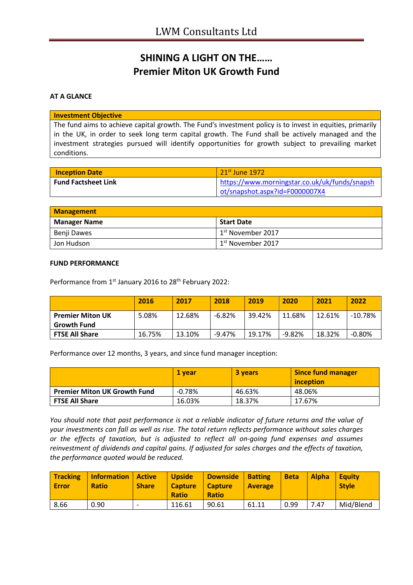# **SHINING A LIGHT ON THE…… Premier Miton UK Growth Fund**

### **AT A GLANCE**

#### **Investment Objective**

The fund aims to achieve capital growth. The Fund's investment policy is to invest in equities, primarily in the UK, in order to seek long term capital growth. The Fund shall be actively managed and the investment strategies pursued will identify opportunities for growth subject to prevailing market conditions.

| <b>Inception Date</b>      | $\overline{\phantom{1}}$ 21 <sup>st</sup> June 1972 |
|----------------------------|-----------------------------------------------------|
| <b>Fund Factsheet Link</b> | https://www.morningstar.co.uk/uk/funds/snapsh       |
|                            | ot/snapshot.aspx?id=F0000007X4                      |

| <b>Management</b>   |                                            |
|---------------------|--------------------------------------------|
| <b>Manager Name</b> | Start Date                                 |
| Benji Dawes         | <sup>1</sup> 1 <sup>st</sup> November 2017 |
| Jon Hudson          | 1 <sup>st</sup> November 2017              |

#### **FUND PERFORMANCE**

Performance from 1<sup>st</sup> January 2016 to 28<sup>th</sup> February 2022:

|                                               | 2016   | 2017   | 2018      | 2019   | 2020     | 2021   | 2022       |
|-----------------------------------------------|--------|--------|-----------|--------|----------|--------|------------|
| <b>Premier Miton UK</b><br><b>Growth Fund</b> | 5.08%  | 12.68% | $-6.82\%$ | 39.42% | 11.68%   | 12.61% | $-10.78\%$ |
| <b>FTSE All Share</b>                         | 16.75% | 13.10% | -9.47%    | 19.17% | $-9.82%$ | 18.32% | $-0.80%$   |

Performance over 12 months, 3 years, and since fund manager inception:

|                                     | 1 vear   | <b>3 years</b> | <b>Since fund manager</b><br>inception |
|-------------------------------------|----------|----------------|----------------------------------------|
| <b>Premier Miton UK Growth Fund</b> | $-0.78%$ | 46.63%         | 48.06%                                 |
| <b>FTSE All Share</b>               | 16.03%   | 18.37%         | 17.67%                                 |

*You should note that past performance is not a reliable indicator of future returns and the value of your investments can fall as well as rise. The total return reflects performance without sales charges or the effects of taxation, but is adjusted to reflect all on-going fund expenses and assumes reinvestment of dividends and capital gains. If adjusted for sales charges and the effects of taxation, the performance quoted would be reduced.*

| <b>Tracking</b><br><b>Error</b> | <b>Information</b><br><b>Ratio</b> | <b>Active</b><br><b>Share</b> | <b>Upside</b><br><b>Capture</b><br><b>Ratio</b> | <b>Downside</b><br><b>Capture</b><br><b>Ratio</b> | <b>Batting</b><br><b>Average</b> | <b>Beta</b> | <b>Alpha</b> | <b>Equity</b><br><b>Style</b> |
|---------------------------------|------------------------------------|-------------------------------|-------------------------------------------------|---------------------------------------------------|----------------------------------|-------------|--------------|-------------------------------|
| 8.66                            | 0.90                               | $\overline{\phantom{0}}$      | 116.61                                          | 90.61                                             | 61.11                            | 0.99        | 7.47         | Mid/Blend                     |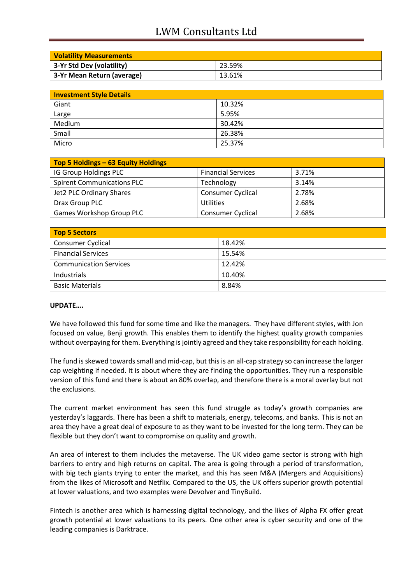# LWM Consultants Ltd

| <b>Volatility Measurements</b> |        |
|--------------------------------|--------|
| 3-Yr Std Dev (volatility)      | 23.59% |
| 3-Yr Mean Return (average)     | 13.61% |

| <b>Investment Style Details</b> |        |  |
|---------------------------------|--------|--|
| Giant                           | 10.32% |  |
| Large                           | 5.95%  |  |
| Medium                          | 30.42% |  |
| Small                           | 26.38% |  |
| Micro                           | 25.37% |  |

| Top 5 Holdings - 63 Equity Holdings |                           |       |
|-------------------------------------|---------------------------|-------|
| IG Group Holdings PLC               | <b>Financial Services</b> | 3.71% |
| <b>Spirent Communications PLC</b>   | Technology                | 3.14% |
| <b>Jet2 PLC Ordinary Shares</b>     | <b>Consumer Cyclical</b>  | 2.78% |
| Drax Group PLC                      | Utilities                 | 2.68% |
| Games Workshop Group PLC            | <b>Consumer Cyclical</b>  | 2.68% |

| <b>Top 5 Sectors</b>          |        |
|-------------------------------|--------|
| <b>Consumer Cyclical</b>      | 18.42% |
| <b>Financial Services</b>     | 15.54% |
| <b>Communication Services</b> | 12.42% |
| Industrials                   | 10.40% |
| <b>Basic Materials</b>        | 8.84%  |

### **UPDATE….**

We have followed this fund for some time and like the managers. They have different styles, with Jon focused on value, Benji growth. This enables them to identify the highest quality growth companies without overpaying for them. Everything is jointly agreed and they take responsibility for each holding.

The fund is skewed towards small and mid-cap, but this is an all-cap strategy so can increase the larger cap weighting if needed. It is about where they are finding the opportunities. They run a responsible version of this fund and there is about an 80% overlap, and therefore there is a moral overlay but not the exclusions.

The current market environment has seen this fund struggle as today's growth companies are yesterday's laggards. There has been a shift to materials, energy, telecoms, and banks. This is not an area they have a great deal of exposure to as they want to be invested for the long term. They can be flexible but they don't want to compromise on quality and growth.

An area of interest to them includes the metaverse. The UK video game sector is strong with high barriers to entry and high returns on capital. The area is going through a period of transformation, with big tech giants trying to enter the market, and this has seen M&A (Mergers and Acquisitions) from the likes of Microsoft and Netflix. Compared to the US, the UK offers superior growth potential at lower valuations, and two examples were Devolver and TinyBuild.

Fintech is another area which is harnessing digital technology, and the likes of Alpha FX offer great growth potential at lower valuations to its peers. One other area is cyber security and one of the leading companies is Darktrace.